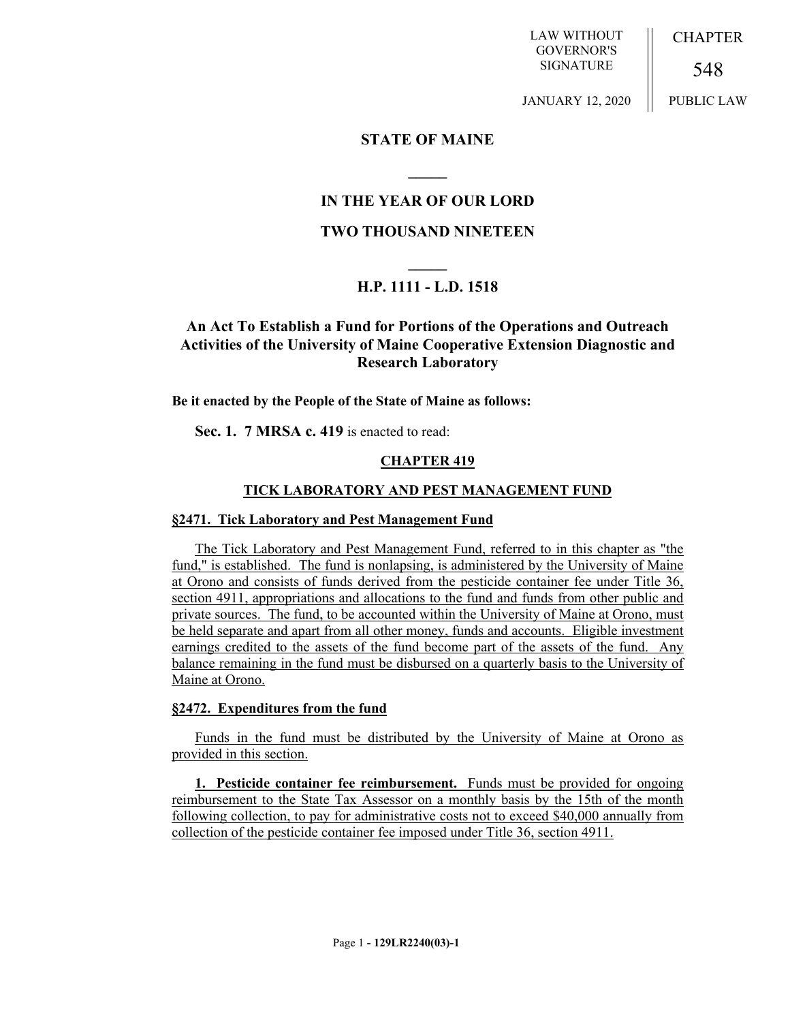LAW WITHOUT GOVERNOR'S SIGNATURE

**CHAPTER** 

548

JANUARY 12, 2020

PUBLIC LAW

# **STATE OF MAINE**

# **IN THE YEAR OF OUR LORD**

**\_\_\_\_\_**

# **TWO THOUSAND NINETEEN**

# **\_\_\_\_\_ H.P. 1111 - L.D. 1518**

# **An Act To Establish a Fund for Portions of the Operations and Outreach Activities of the University of Maine Cooperative Extension Diagnostic and Research Laboratory**

### **Be it enacted by the People of the State of Maine as follows:**

**Sec. 1. 7 MRSA c. 419** is enacted to read:

## **CHAPTER 419**

## **TICK LABORATORY AND PEST MANAGEMENT FUND**

### **§2471. Tick Laboratory and Pest Management Fund**

The Tick Laboratory and Pest Management Fund, referred to in this chapter as "the fund," is established. The fund is nonlapsing, is administered by the University of Maine at Orono and consists of funds derived from the pesticide container fee under Title 36, section 4911, appropriations and allocations to the fund and funds from other public and private sources. The fund, to be accounted within the University of Maine at Orono, must be held separate and apart from all other money, funds and accounts. Eligible investment earnings credited to the assets of the fund become part of the assets of the fund. Any balance remaining in the fund must be disbursed on a quarterly basis to the University of Maine at Orono.

### **§2472. Expenditures from the fund**

Funds in the fund must be distributed by the University of Maine at Orono as provided in this section.

**1. Pesticide container fee reimbursement.** Funds must be provided for ongoing reimbursement to the State Tax Assessor on a monthly basis by the 15th of the month following collection, to pay for administrative costs not to exceed \$40,000 annually from collection of the pesticide container fee imposed under Title 36, section 4911.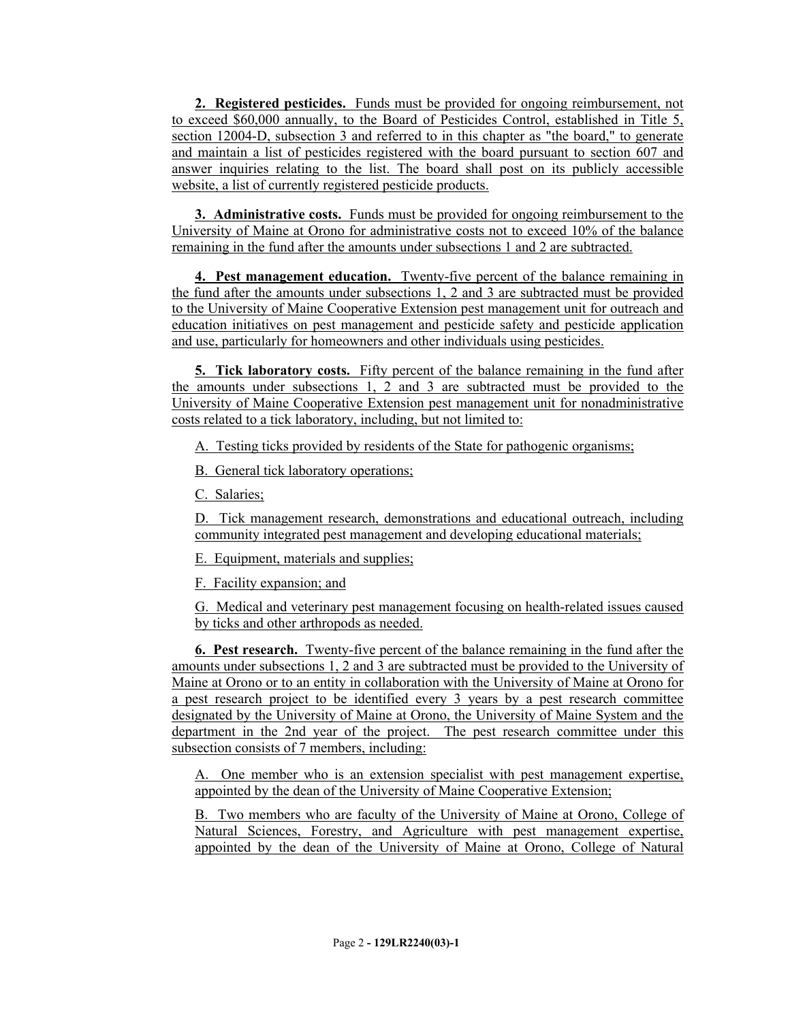**2. Registered pesticides.** Funds must be provided for ongoing reimbursement, not to exceed \$60,000 annually, to the Board of Pesticides Control, established in Title 5, section 12004-D, subsection 3 and referred to in this chapter as "the board," to generate and maintain a list of pesticides registered with the board pursuant to section 607 and answer inquiries relating to the list. The board shall post on its publicly accessible website, a list of currently registered pesticide products.

**3. Administrative costs.** Funds must be provided for ongoing reimbursement to the University of Maine at Orono for administrative costs not to exceed 10% of the balance remaining in the fund after the amounts under subsections 1 and 2 are subtracted.

**4. Pest management education.** Twenty-five percent of the balance remaining in the fund after the amounts under subsections 1, 2 and 3 are subtracted must be provided to the University of Maine Cooperative Extension pest management unit for outreach and education initiatives on pest management and pesticide safety and pesticide application and use, particularly for homeowners and other individuals using pesticides.

**5. Tick laboratory costs.** Fifty percent of the balance remaining in the fund after the amounts under subsections 1, 2 and 3 are subtracted must be provided to the University of Maine Cooperative Extension pest management unit for nonadministrative costs related to a tick laboratory, including, but not limited to:

A. Testing ticks provided by residents of the State for pathogenic organisms;

B. General tick laboratory operations;

C. Salaries;

D. Tick management research, demonstrations and educational outreach, including community integrated pest management and developing educational materials;

E. Equipment, materials and supplies;

F. Facility expansion; and

G. Medical and veterinary pest management focusing on health-related issues caused by ticks and other arthropods as needed.

**6. Pest research.** Twenty-five percent of the balance remaining in the fund after the amounts under subsections 1, 2 and 3 are subtracted must be provided to the University of Maine at Orono or to an entity in collaboration with the University of Maine at Orono for a pest research project to be identified every 3 years by a pest research committee designated by the University of Maine at Orono, the University of Maine System and the department in the 2nd year of the project. The pest research committee under this subsection consists of 7 members, including:

A. One member who is an extension specialist with pest management expertise, appointed by the dean of the University of Maine Cooperative Extension;

B. Two members who are faculty of the University of Maine at Orono, College of Natural Sciences, Forestry, and Agriculture with pest management expertise, appointed by the dean of the University of Maine at Orono, College of Natural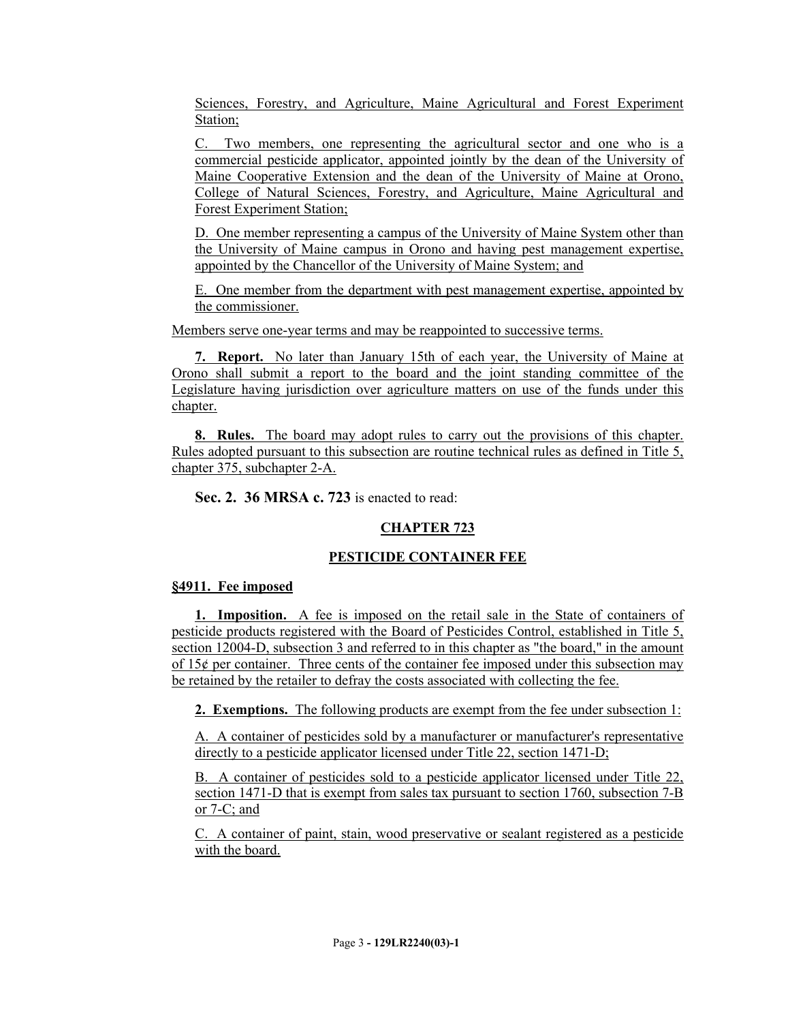Sciences, Forestry, and Agriculture, Maine Agricultural and Forest Experiment Station;

C. Two members, one representing the agricultural sector and one who is a commercial pesticide applicator, appointed jointly by the dean of the University of Maine Cooperative Extension and the dean of the University of Maine at Orono, College of Natural Sciences, Forestry, and Agriculture, Maine Agricultural and Forest Experiment Station;

D. One member representing a campus of the University of Maine System other than the University of Maine campus in Orono and having pest management expertise, appointed by the Chancellor of the University of Maine System; and

E. One member from the department with pest management expertise, appointed by the commissioner.

Members serve one-year terms and may be reappointed to successive terms.

**7. Report.** No later than January 15th of each year, the University of Maine at Orono shall submit a report to the board and the joint standing committee of the Legislature having jurisdiction over agriculture matters on use of the funds under this chapter.

**8. Rules.** The board may adopt rules to carry out the provisions of this chapter. Rules adopted pursuant to this subsection are routine technical rules as defined in Title 5, chapter 375, subchapter 2-A.

**Sec. 2. 36 MRSA c. 723** is enacted to read:

# **CHAPTER 723**

# **PESTICIDE CONTAINER FEE**

# **§4911. Fee imposed**

**1. Imposition.** A fee is imposed on the retail sale in the State of containers of pesticide products registered with the Board of Pesticides Control, established in Title 5, section 12004-D, subsection 3 and referred to in this chapter as "the board," in the amount of  $15¢$  per container. Three cents of the container fee imposed under this subsection may be retained by the retailer to defray the costs associated with collecting the fee.

**2. Exemptions.** The following products are exempt from the fee under subsection 1:

A. A container of pesticides sold by a manufacturer or manufacturer's representative directly to a pesticide applicator licensed under Title 22, section 1471-D;

B. A container of pesticides sold to a pesticide applicator licensed under Title 22, section 1471-D that is exempt from sales tax pursuant to section 1760, subsection 7-B or 7-C; and

C. A container of paint, stain, wood preservative or sealant registered as a pesticide with the board.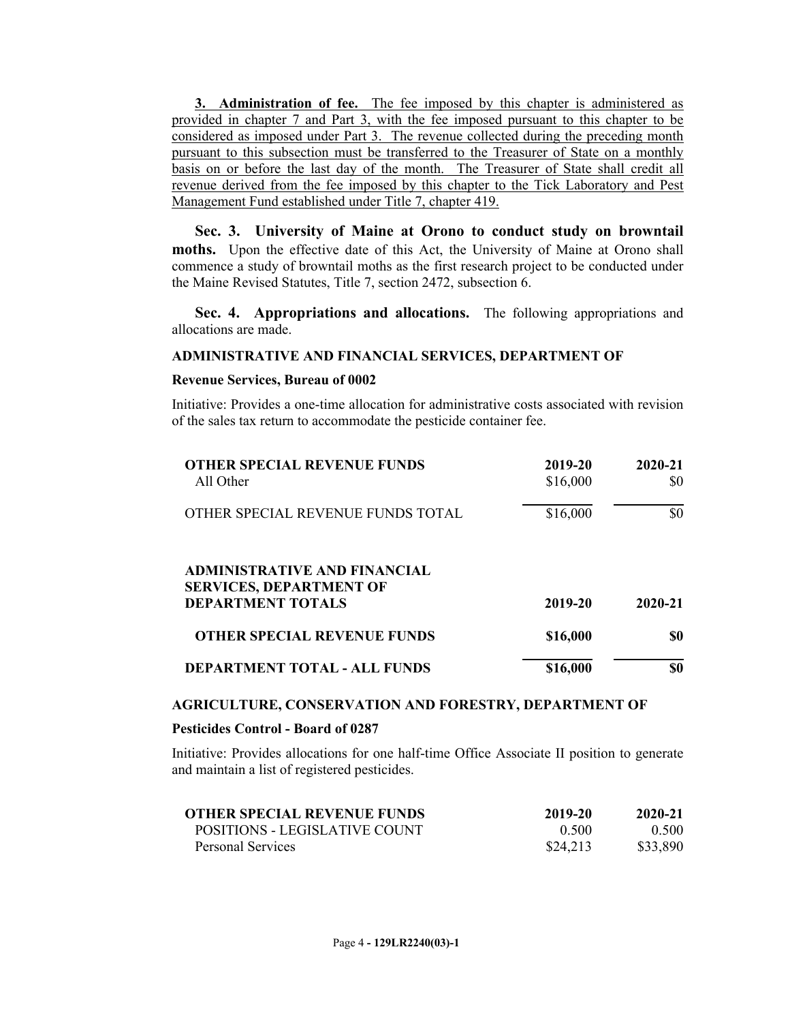**3. Administration of fee.** The fee imposed by this chapter is administered as provided in chapter 7 and Part 3, with the fee imposed pursuant to this chapter to be considered as imposed under Part 3. The revenue collected during the preceding month pursuant to this subsection must be transferred to the Treasurer of State on a monthly basis on or before the last day of the month. The Treasurer of State shall credit all revenue derived from the fee imposed by this chapter to the Tick Laboratory and Pest Management Fund established under Title 7, chapter 419.

**Sec. 3. University of Maine at Orono to conduct study on browntail moths.** Upon the effective date of this Act, the University of Maine at Orono shall commence a study of browntail moths as the first research project to be conducted under the Maine Revised Statutes, Title 7, section 2472, subsection 6.

**Sec. 4. Appropriations and allocations.** The following appropriations and allocations are made.

### **ADMINISTRATIVE AND FINANCIAL SERVICES, DEPARTMENT OF**

#### **Revenue Services, Bureau of 0002**

Initiative: Provides a one-time allocation for administrative costs associated with revision of the sales tax return to accommodate the pesticide container fee.

| <b>OTHER SPECIAL REVENUE FUNDS</b><br>All Other                                                   | 2019-20<br>\$16,000 | 2020-21<br>SO. |
|---------------------------------------------------------------------------------------------------|---------------------|----------------|
| OTHER SPECIAL REVENUE FUNDS TOTAL                                                                 | \$16,000            | \$0            |
| <b>ADMINISTRATIVE AND FINANCIAL</b><br><b>SERVICES, DEPARTMENT OF</b><br><b>DEPARTMENT TOTALS</b> | 2019-20             | 2020-21        |
| <b>OTHER SPECIAL REVENUE FUNDS</b>                                                                | \$16,000            | \$0            |
| <b>DEPARTMENT TOTAL - ALL FUNDS</b>                                                               | \$16,000            | \$0            |

#### **AGRICULTURE, CONSERVATION AND FORESTRY, DEPARTMENT OF**

#### **Pesticides Control - Board of 0287**

Initiative: Provides allocations for one half-time Office Associate II position to generate and maintain a list of registered pesticides.

| <b>OTHER SPECIAL REVENUE FUNDS</b> | 2019-20  | 2020-21  |
|------------------------------------|----------|----------|
| POSITIONS - LEGISLATIVE COUNT      | 0.500    | 0.500    |
| Personal Services                  | \$24,213 | \$33,890 |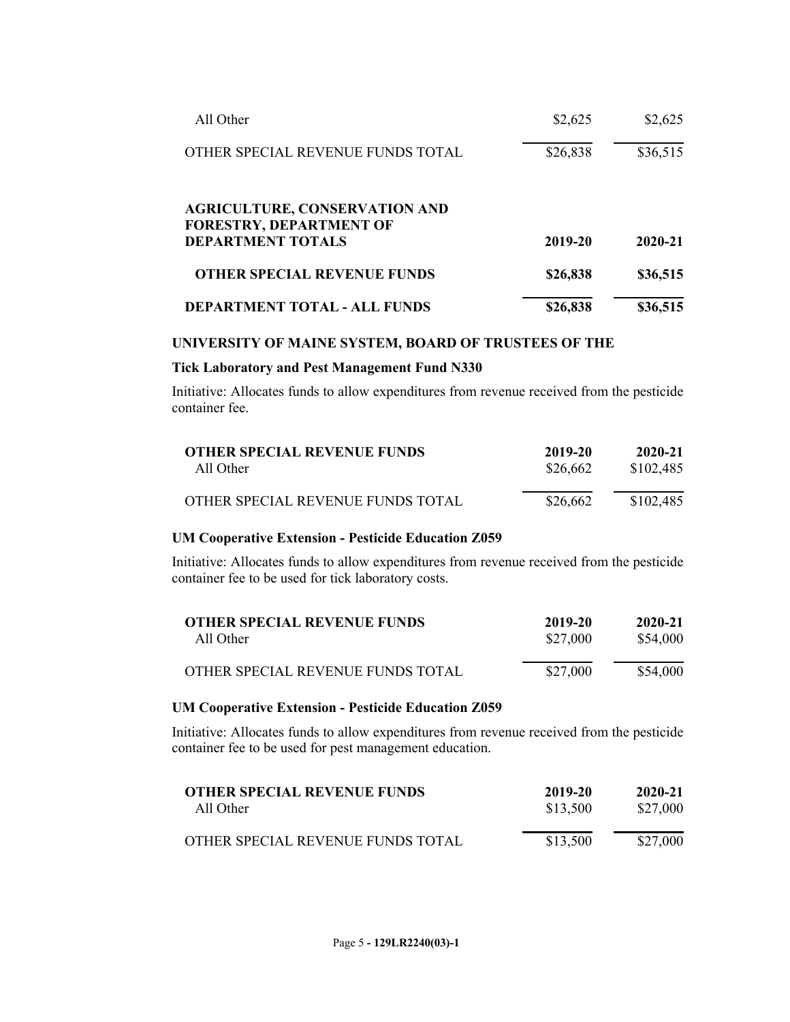| All Other                                                                                          | \$2,625  | \$2,625  |
|----------------------------------------------------------------------------------------------------|----------|----------|
| OTHER SPECIAL REVENUE FUNDS TOTAL                                                                  | \$26,838 | \$36,515 |
| <b>AGRICULTURE, CONSERVATION AND</b><br><b>FORESTRY, DEPARTMENT OF</b><br><b>DEPARTMENT TOTALS</b> | 2019-20  | 2020-21  |
| <b>OTHER SPECIAL REVENUE FUNDS</b>                                                                 | \$26,838 | \$36,515 |
| <b>DEPARTMENT TOTAL - ALL FUNDS</b>                                                                | \$26,838 | \$36,515 |

# **UNIVERSITY OF MAINE SYSTEM, BOARD OF TRUSTEES OF THE**

#### **Tick Laboratory and Pest Management Fund N330**

Initiative: Allocates funds to allow expenditures from revenue received from the pesticide container fee.

| <b>OTHER SPECIAL REVENUE FUNDS</b> | 2019-20  | 2020-21   |
|------------------------------------|----------|-----------|
| All Other                          | \$26,662 | \$102,485 |
| OTHER SPECIAL REVENUE FUNDS TOTAL  | \$26,662 | \$102,485 |

## **UM Cooperative Extension - Pesticide Education Z059**

Initiative: Allocates funds to allow expenditures from revenue received from the pesticide container fee to be used for tick laboratory costs.

| <b>OTHER SPECIAL REVENUE FUNDS</b> | 2019-20  | 2020-21  |
|------------------------------------|----------|----------|
| All Other                          | \$27,000 | \$54,000 |
| OTHER SPECIAL REVENUE FUNDS TOTAL  | \$27,000 | \$54,000 |

### **UM Cooperative Extension - Pesticide Education Z059**

Initiative: Allocates funds to allow expenditures from revenue received from the pesticide container fee to be used for pest management education.

| <b>OTHER SPECIAL REVENUE FUNDS</b> | 2019-20  | 2020-21  |
|------------------------------------|----------|----------|
| All Other                          | \$13,500 | \$27,000 |
| OTHER SPECIAL REVENUE FUNDS TOTAL  | \$13,500 | \$27,000 |